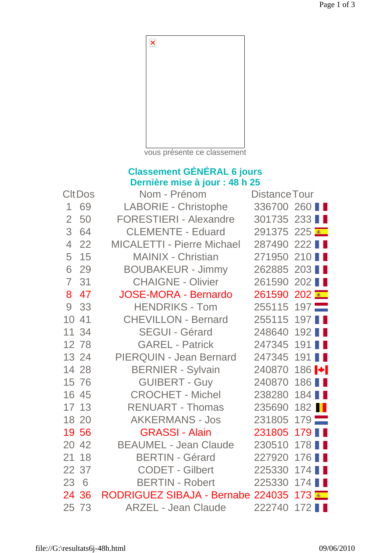

vous présente ce classement

## **Classement GÉNÉRAL 6 jours Dernière mise à jour : 48 h 25**

| <b>CltDos</b>  |       | Nom - Prénom                      | <b>Distance Tour</b> |                            |
|----------------|-------|-----------------------------------|----------------------|----------------------------|
| 1              | 69    | <b>LABORIE - Christophe</b>       | 336700 260           |                            |
| $\overline{2}$ | 50    | <b>FORESTIERI - Alexandre</b>     | 301735 233           |                            |
| 3              | 64    | <b>CLEMENTE - Eduard</b>          | 291375 225           |                            |
| $\overline{4}$ | 22    | <b>MICALETTI - Pierre Michael</b> | 287490 222           |                            |
| 5              | 15    | <b>MAINIX - Christian</b>         | 271950 210           |                            |
| 6              | 29    | <b>BOUBAKEUR - Jimmy</b>          | 262885 203           |                            |
| $\overline{7}$ | 31    | <b>CHAIGNE - Olivier</b>          | 261590               | 202                        |
| 8              | 47    | <b>JOSE-MORA - Bernardo</b>       | 261590               | $202$ $\overline{\bullet}$ |
| 9              | 33    | <b>HENDRIKS - Tom</b>             | 255115               | $197 -$                    |
| 10             | 41    | <b>CHEVILLON - Bernard</b>        | 255115               | 197 <b>11</b>              |
|                | 11 34 | <b>SEGUI - Gérard</b>             | 248640               | 192                        |
|                | 12 78 | <b>GAREL - Patrick</b>            | 247345               | $191$ $\blacksquare$       |
|                | 13 24 | <b>PIERQUIN - Jean Bernard</b>    | 247345               | 191                        |
|                | 14 28 | <b>BERNIER - Sylvain</b>          | 240870               | $186$ $\bullet$            |
|                | 15 76 | <b>GUIBERT - Guy</b>              | 240870               | 186 <b>11</b>              |
|                | 16 45 | <b>CROCHET - Michel</b>           | 238280               | $184$ $\blacksquare$       |
|                | 17 13 | <b>RENUART - Thomas</b>           | 235690               | 182 <b>I</b>               |
|                | 18 20 | <b>AKKERMANS - Jos</b>            | 231805               | $179$ $\blacksquare$       |
|                | 19 56 | <b>GRASSI - Alain</b>             | 231805               | 179 <b>11</b>              |
|                | 20 42 | <b>BEAUMEL - Jean Claude</b>      | 230510               | 178                        |
|                | 21 18 | <b>BERTIN - Gérard</b>            | 227920               | 176                        |
|                | 22 37 | <b>CODET - Gilbert</b>            | 225330               | $174$ $\blacksquare$       |
| 23 6           |       | <b>BERTIN - Robert</b>            | 225330               | 174                        |
|                | 24 36 | RODRIGUEZ SIBAJA - Bernabe 224035 |                      | 173 ≅ _                    |
|                | 25 73 | <b>ARZEL - Jean Claude</b>        | 222740               | $172$ $\blacksquare$       |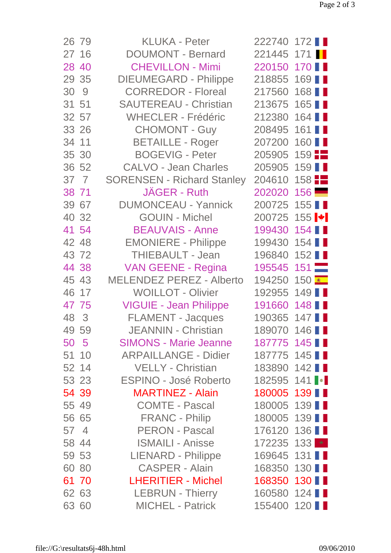| 26 79 | <b>KLUKA - Peter</b>              | 222740 172                       |               |
|-------|-----------------------------------|----------------------------------|---------------|
| 27 16 | <b>DOUMONT - Bernard</b>          | 221445 171                       |               |
| 28 40 | <b>CHEVILLON - Mimi</b>           | 220150 170                       |               |
| 29 35 | <b>DIEUMEGARD - Philippe</b>      | 218855 169                       |               |
| 30 9  | <b>CORREDOR - Floreal</b>         | 217560                           | 168 <b>II</b> |
| 31 51 | <b>SAUTEREAU - Christian</b>      | 213675 165                       |               |
| 32 57 | <b>WHECLER - Frédéric</b>         | 212380 164                       |               |
| 33 26 | <b>CHOMONT - Guy</b>              | 208495 161                       |               |
| 34 11 | <b>BETAILLE - Roger</b>           | 207200 160                       |               |
| 35 30 | <b>BOGEVIG - Peter</b>            | $205905$ 159                     |               |
| 36 52 | <b>CALVO - Jean Charles</b>       | 205905 159                       |               |
| 37 7  | <b>SORENSEN - Richard Stanley</b> | 204610 158                       |               |
| 38 71 | JÄGER - Ruth                      | 202020 156                       |               |
| 39 67 | <b>DUMONCEAU - Yannick</b>        | 200725 155                       |               |
| 40 32 | <b>GOUIN - Michel</b>             | 200725 155 $\blacktriangleright$ |               |
| 41 54 | <b>BEAUVAIS - Anne</b>            | 199430 154                       |               |
| 42 48 | <b>EMONIERE - Philippe</b>        | 199430 154                       |               |
| 43 72 | <b>THIEBAULT - Jean</b>           | 196840 152 ■                     |               |
| 44 38 | <b>VAN GEENE - Regina</b>         | 195545 151                       |               |
| 45 43 | <b>MELENDEZ PEREZ - Alberto</b>   | 194250 150                       |               |
| 46 17 | <b>WOILLOT - Olivier</b>          | 192955 149 ■                     |               |
| 47 75 | <b>VIGUIE - Jean Philippe</b>     | 191660 148                       |               |
| 48 3  | <b>FLAMENT - Jacques</b>          | 190365 147                       |               |
| 49 59 | <b>JEANNIN - Christian</b>        | 189070 146                       |               |
| 50 5  | <b>SIMONS - Marie Jeanne</b>      | 187775 145                       |               |
| 51 10 | <b>ARPAILLANGE - Didier</b>       | 187775 145                       |               |
| 52 14 | <b>VELLY - Christian</b>          | 183890 142 ■                     |               |
| 53 23 | ESPINO - José Roberto             | 182595 141                       |               |
| 54 39 | <b>MARTINEZ - Alain</b>           | 180005 139 ■                     |               |
| 55 49 | <b>COMTE - Pascal</b>             | 180005 139                       |               |
| 56 65 | <b>FRANC - Philip</b>             | 180005 139                       |               |
| 57 4  | PERON - Pascal                    | 176120 136                       |               |
| 58 44 | <b>ISMAILI - Anisse</b>           | 172235 133 *                     |               |
| 59 53 | <b>LIENARD - Philippe</b>         | 169645 131                       |               |
| 60 80 | CASPER - Alain                    | 168350 130                       |               |
| 61 70 | <b>LHERITIER - Michel</b>         | 168350 130                       |               |
| 62 63 | <b>LEBRUN - Thierry</b>           | 160580 124 ■                     |               |
| 63 60 | <b>MICHEL - Patrick</b>           | 155400 120                       |               |